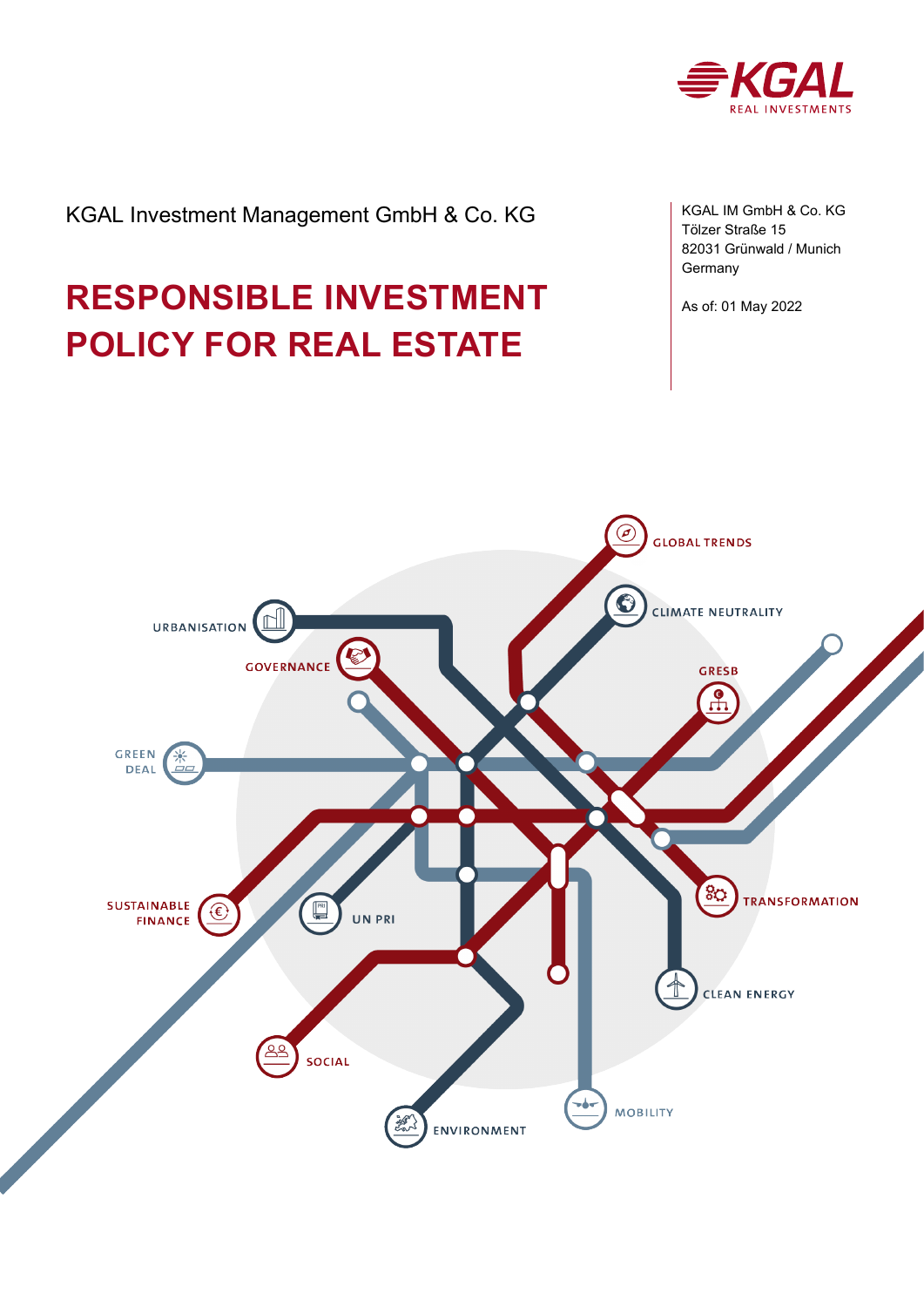

# KGAL Investment Management GmbH & Co. KG

# **RESPONSIBLE INVESTMENT POLICY FOR REAL ESTATE**

KGAL IM GmbH & Co. KG Tölzer Straße 15 82031 Grünwald / Munich Germany

As of: 01 May 2022

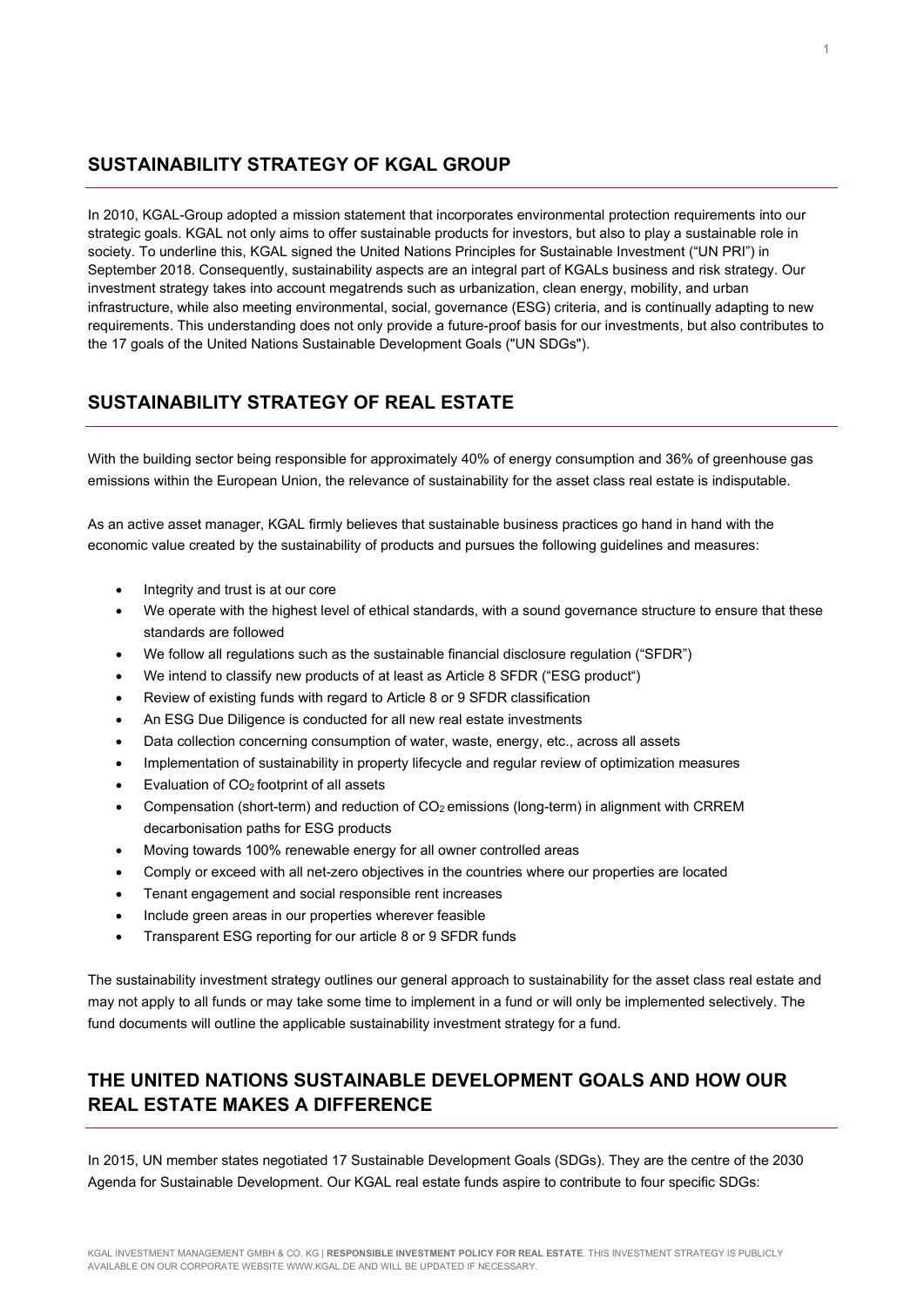#### **SUSTAINABILITY STRATEGY OF KGAL GROUP**

In 2010, KGAL-Group adopted a mission statement that incorporates environmental protection requirements into our strategic goals. KGAL not only aims to offer sustainable products for investors, but also to play a sustainable role in society. To underline this, KGAL signed the United Nations Principles for Sustainable Investment ("UN PRI") in September 2018. Consequently, sustainability aspects are an integral part of KGALs business and risk strategy. Our investment strategy takes into account megatrends such as urbanization, clean energy, mobility, and urban infrastructure, while also meeting environmental, social, governance (ESG) criteria, and is continually adapting to new requirements. This understanding does not only provide a future-proof basis for our investments, but also contributes to the 17 goals of the United Nations Sustainable Development Goals ("UN SDGs").

# **SUSTAINABILITY STRATEGY OF REAL ESTATE**

With the building sector being responsible for approximately 40% of energy consumption and 36% of greenhouse gas emissions within the European Union, the relevance of sustainability for the asset class real estate is indisputable.

As an active asset manager, KGAL firmly believes that sustainable business practices go hand in hand with the economic value created by the sustainability of products and pursues the following guidelines and measures:

- Integrity and trust is at our core
- We operate with the highest level of ethical standards, with a sound governance structure to ensure that these standards are followed
- We follow all regulations such as the sustainable financial disclosure regulation ("SFDR")
- We intend to classify new products of at least as Article 8 SFDR ("ESG product")
- Review of existing funds with regard to Article 8 or 9 SFDR classification
- An ESG Due Diligence is conducted for all new real estate investments
- Data collection concerning consumption of water, waste, energy, etc., across all assets
- Implementation of sustainability in property lifecycle and regular review of optimization measures
- Evaluation of  $CO<sub>2</sub>$  footprint of all assets
- Compensation (short-term) and reduction of CO<sub>2</sub> emissions (long-term) in alignment with CRREM decarbonisation paths for ESG products
- Moving towards 100% renewable energy for all owner controlled areas
- Comply or exceed with all net-zero objectives in the countries where our properties are located
- Tenant engagement and social responsible rent increases
- Include green areas in our properties wherever feasible
- Transparent ESG reporting for our article 8 or 9 SFDR funds

The sustainability investment strategy outlines our general approach to sustainability for the asset class real estate and may not apply to all funds or may take some time to implement in a fund or will only be implemented selectively. The fund documents will outline the applicable sustainability investment strategy for a fund.

# **THE UNITED NATIONS SUSTAINABLE DEVELOPMENT GOALS AND HOW OUR REAL ESTATE MAKES A DIFFERENCE**

In 2015, UN member states negotiated 17 Sustainable Development Goals (SDGs). They are the centre of the 2030 Agenda for Sustainable Development. Our KGAL real estate funds aspire to contribute to four specific SDGs: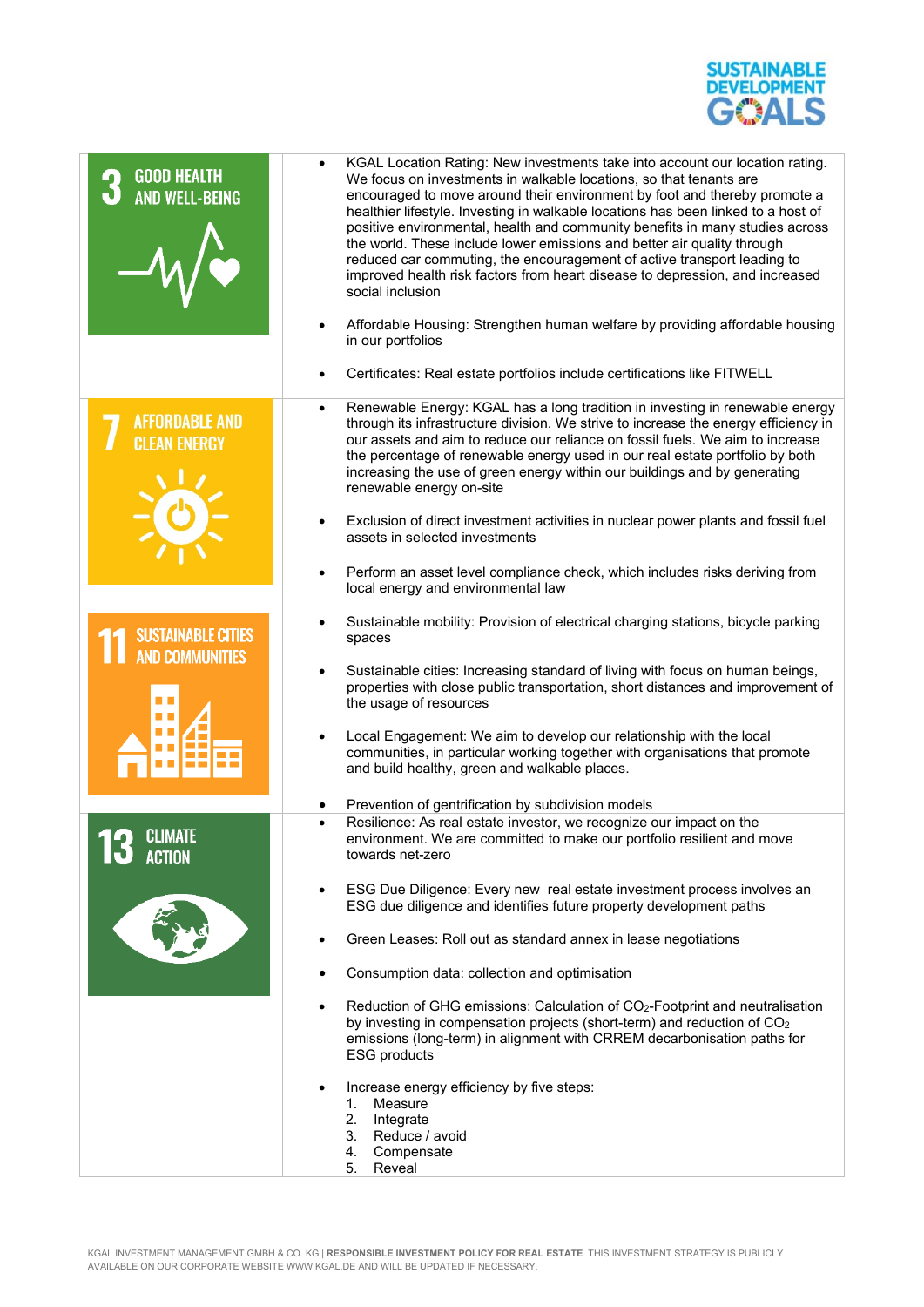

| <b>GOOD HEALTH</b><br><b>AND WELL-BEING</b>         | KGAL Location Rating: New investments take into account our location rating.<br>$\bullet$<br>We focus on investments in walkable locations, so that tenants are<br>encouraged to move around their environment by foot and thereby promote a<br>healthier lifestyle. Investing in walkable locations has been linked to a host of<br>positive environmental, health and community benefits in many studies across<br>the world. These include lower emissions and better air quality through<br>reduced car commuting, the encouragement of active transport leading to<br>improved health risk factors from heart disease to depression, and increased<br>social inclusion<br>Affordable Housing: Strengthen human welfare by providing affordable housing<br>in our portfolios<br>Certificates: Real estate portfolios include certifications like FITWELL                      |
|-----------------------------------------------------|-----------------------------------------------------------------------------------------------------------------------------------------------------------------------------------------------------------------------------------------------------------------------------------------------------------------------------------------------------------------------------------------------------------------------------------------------------------------------------------------------------------------------------------------------------------------------------------------------------------------------------------------------------------------------------------------------------------------------------------------------------------------------------------------------------------------------------------------------------------------------------------|
| <b>AFFORDABLE AND</b><br><b>CLEAN ENERGY</b>        | Renewable Energy: KGAL has a long tradition in investing in renewable energy<br>$\bullet$<br>through its infrastructure division. We strive to increase the energy efficiency in<br>our assets and aim to reduce our reliance on fossil fuels. We aim to increase<br>the percentage of renewable energy used in our real estate portfolio by both<br>increasing the use of green energy within our buildings and by generating<br>renewable energy on-site<br>Exclusion of direct investment activities in nuclear power plants and fossil fuel<br>assets in selected investments<br>Perform an asset level compliance check, which includes risks deriving from<br>$\bullet$<br>local energy and environmental law                                                                                                                                                               |
| <b>SUSTAINABLE CITIES</b><br><b>AND COMMUNITIES</b> | Sustainable mobility: Provision of electrical charging stations, bicycle parking<br>$\bullet$<br>spaces<br>Sustainable cities: Increasing standard of living with focus on human beings,<br>properties with close public transportation, short distances and improvement of<br>the usage of resources<br>Local Engagement: We aim to develop our relationship with the local<br>communities, in particular working together with organisations that promote<br>and build healthy, green and walkable places.<br>Prevention of gentrification by subdivision models<br>٠                                                                                                                                                                                                                                                                                                           |
| <b>CLIMATE</b><br><b>ACTION</b>                     | Resilience: As real estate investor, we recognize our impact on the<br>environment. We are committed to make our portfolio resilient and move<br>towards net-zero<br>ESG Due Diligence: Every new real estate investment process involves an<br>$\bullet$<br>ESG due diligence and identifies future property development paths<br>Green Leases: Roll out as standard annex in lease negotiations<br>Consumption data: collection and optimisation<br>Reduction of GHG emissions: Calculation of CO <sub>2</sub> -Footprint and neutralisation<br>by investing in compensation projects (short-term) and reduction of CO <sub>2</sub><br>emissions (long-term) in alignment with CRREM decarbonisation paths for<br><b>ESG products</b><br>Increase energy efficiency by five steps:<br>Measure<br>1.<br>2.<br>Integrate<br>3. Reduce / avoid<br>4.<br>Compensate<br>Reveal<br>5. |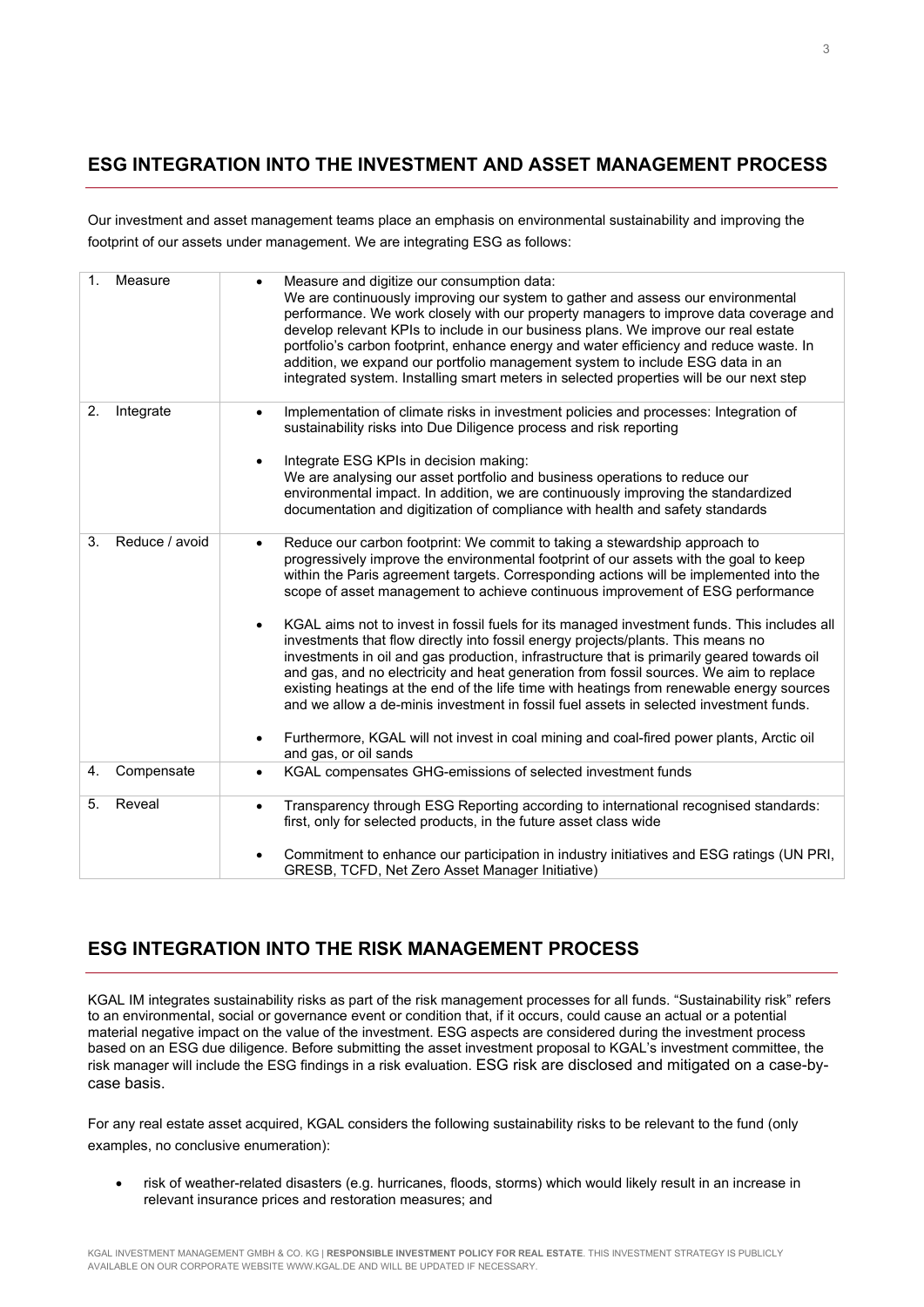## **ESG INTEGRATION INTO THE INVESTMENT AND ASSET MANAGEMENT PROCESS**

Our investment and asset management teams place an emphasis on environmental sustainability and improving the footprint of our assets under management. We are integrating ESG as follows:

| $\mathbf{1}$ . | Measure        | Measure and digitize our consumption data:<br>$\bullet$<br>We are continuously improving our system to gather and assess our environmental<br>performance. We work closely with our property managers to improve data coverage and<br>develop relevant KPIs to include in our business plans. We improve our real estate<br>portfolio's carbon footprint, enhance energy and water efficiency and reduce waste. In<br>addition, we expand our portfolio management system to include ESG data in an<br>integrated system. Installing smart meters in selected properties will be our next step                                                                                                                                                                                                                                                                                                                                                                                                                                                                                |
|----------------|----------------|-------------------------------------------------------------------------------------------------------------------------------------------------------------------------------------------------------------------------------------------------------------------------------------------------------------------------------------------------------------------------------------------------------------------------------------------------------------------------------------------------------------------------------------------------------------------------------------------------------------------------------------------------------------------------------------------------------------------------------------------------------------------------------------------------------------------------------------------------------------------------------------------------------------------------------------------------------------------------------------------------------------------------------------------------------------------------------|
| 2.             | Integrate      | Implementation of climate risks in investment policies and processes: Integration of<br>$\bullet$<br>sustainability risks into Due Diligence process and risk reporting<br>Integrate ESG KPIs in decision making:<br>$\bullet$<br>We are analysing our asset portfolio and business operations to reduce our<br>environmental impact. In addition, we are continuously improving the standardized<br>documentation and digitization of compliance with health and safety standards                                                                                                                                                                                                                                                                                                                                                                                                                                                                                                                                                                                            |
| 3.             | Reduce / avoid | Reduce our carbon footprint: We commit to taking a stewardship approach to<br>$\bullet$<br>progressively improve the environmental footprint of our assets with the goal to keep<br>within the Paris agreement targets. Corresponding actions will be implemented into the<br>scope of asset management to achieve continuous improvement of ESG performance<br>KGAL aims not to invest in fossil fuels for its managed investment funds. This includes all<br>$\bullet$<br>investments that flow directly into fossil energy projects/plants. This means no<br>investments in oil and gas production, infrastructure that is primarily geared towards oil<br>and gas, and no electricity and heat generation from fossil sources. We aim to replace<br>existing heatings at the end of the life time with heatings from renewable energy sources<br>and we allow a de-minis investment in fossil fuel assets in selected investment funds.<br>Furthermore, KGAL will not invest in coal mining and coal-fired power plants, Arctic oil<br>$\bullet$<br>and gas, or oil sands |
| 4.             | Compensate     | KGAL compensates GHG-emissions of selected investment funds<br>$\bullet$                                                                                                                                                                                                                                                                                                                                                                                                                                                                                                                                                                                                                                                                                                                                                                                                                                                                                                                                                                                                      |
| 5.             | Reveal         | Transparency through ESG Reporting according to international recognised standards:<br>$\bullet$<br>first, only for selected products, in the future asset class wide<br>Commitment to enhance our participation in industry initiatives and ESG ratings (UN PRI,                                                                                                                                                                                                                                                                                                                                                                                                                                                                                                                                                                                                                                                                                                                                                                                                             |
|                |                | GRESB, TCFD, Net Zero Asset Manager Initiative)                                                                                                                                                                                                                                                                                                                                                                                                                                                                                                                                                                                                                                                                                                                                                                                                                                                                                                                                                                                                                               |

# **ESG INTEGRATION INTO THE RISK MANAGEMENT PROCESS**

KGAL IM integrates sustainability risks as part of the risk management processes for all funds. "Sustainability risk" refers to an environmental, social or governance event or condition that, if it occurs, could cause an actual or a potential material negative impact on the value of the investment. ESG aspects are considered during the investment process based on an ESG due diligence. Before submitting the asset investment proposal to KGAL's investment committee, the risk manager will include the ESG findings in a risk evaluation. ESG risk are disclosed and mitigated on a case-bycase basis.

For any real estate asset acquired, KGAL considers the following sustainability risks to be relevant to the fund (only examples, no conclusive enumeration):

• risk of weather-related disasters (e.g. hurricanes, floods, storms) which would likely result in an increase in relevant insurance prices and restoration measures; and